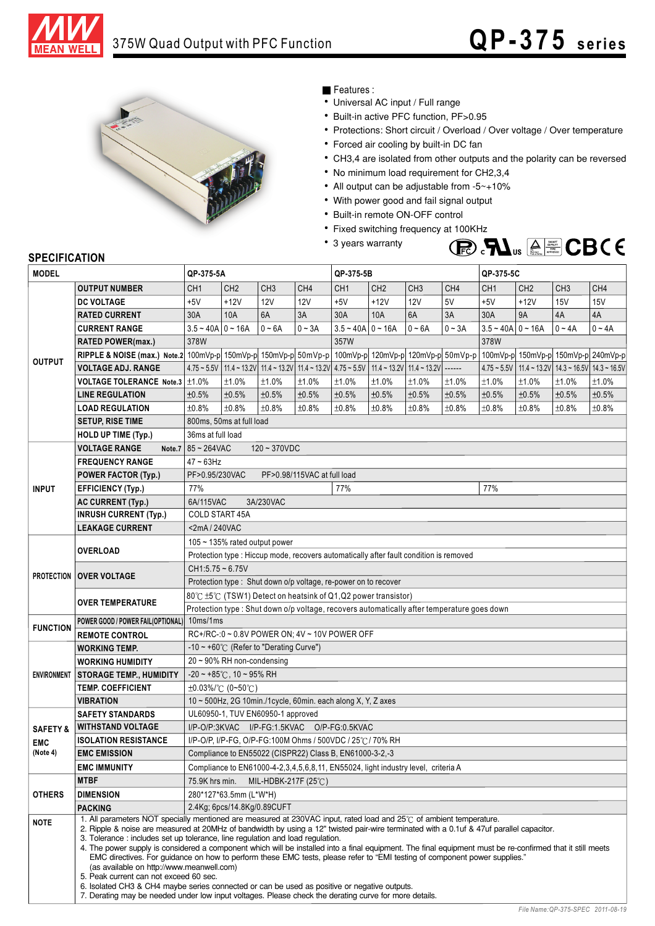



## Features :

- Universal AC input / Full range
- Built-in active PFC function, PF>0.95
- Protections: Short circuit / Overload / Over voltage / Over temperature
- Forced air cooling by built-in DC fan
- CH3,4 are isolated from other outputs and the polarity can be reversed
- No minimum load requirement for CH2,3,4
- All output can be adjustable from -5~+10%
- With power good and fail signal output
- Built-in remote ON-OFF control
- Fixed switching frequency at 100KHz
- 3 years warranty



# **SPECIFICATION**

| <b>MODEL</b>                                                                                                                      |                                                                                                                                                                                                                                                                                                                                                                                                                                                                                                                                                                                                                                                                                                                                                                                                                                                                                                                                              | QP-375-5A                                                                              |                          |                 |          | QP-375-5B                                                                          |                 |                 |                 | QP-375-5C           |                 |                 |                                                               |  |
|-----------------------------------------------------------------------------------------------------------------------------------|----------------------------------------------------------------------------------------------------------------------------------------------------------------------------------------------------------------------------------------------------------------------------------------------------------------------------------------------------------------------------------------------------------------------------------------------------------------------------------------------------------------------------------------------------------------------------------------------------------------------------------------------------------------------------------------------------------------------------------------------------------------------------------------------------------------------------------------------------------------------------------------------------------------------------------------------|----------------------------------------------------------------------------------------|--------------------------|-----------------|----------|------------------------------------------------------------------------------------|-----------------|-----------------|-----------------|---------------------|-----------------|-----------------|---------------------------------------------------------------|--|
| <b>OUTPUT</b><br><b>INPUT</b><br><b>FUNCTION</b><br><b>SAFETY &amp;</b><br><b>EMC</b><br>(Note 4)<br><b>OTHERS</b><br><b>NOTE</b> | <b>OUTPUT NUMBER</b>                                                                                                                                                                                                                                                                                                                                                                                                                                                                                                                                                                                                                                                                                                                                                                                                                                                                                                                         | CH <sub>1</sub>                                                                        | CH <sub>2</sub>          | CH <sub>3</sub> | CH4      | CH <sub>1</sub>                                                                    | CH <sub>2</sub> | CH <sub>3</sub> | CH <sub>4</sub> | CH <sub>1</sub>     | CH <sub>2</sub> | CH <sub>3</sub> | CH4                                                           |  |
|                                                                                                                                   | <b>DC VOLTAGE</b>                                                                                                                                                                                                                                                                                                                                                                                                                                                                                                                                                                                                                                                                                                                                                                                                                                                                                                                            | $+5V$                                                                                  | $+12V$                   | 12V             | 12V      | $+5V$                                                                              | $+12V$          | 12V             | 5V              | $+5V$               | $+12V$          | 15V             | 15V                                                           |  |
|                                                                                                                                   | <b>RATED CURRENT</b>                                                                                                                                                                                                                                                                                                                                                                                                                                                                                                                                                                                                                                                                                                                                                                                                                                                                                                                         | 30A                                                                                    | 10A                      | 6A              | 3A       | 30A                                                                                | <b>10A</b>      | 6A              | 3A              | 30A                 | <b>9A</b>       | 4A              | 4A                                                            |  |
|                                                                                                                                   | <b>CURRENT RANGE</b>                                                                                                                                                                                                                                                                                                                                                                                                                                                                                                                                                                                                                                                                                                                                                                                                                                                                                                                         | $3.5 - 40A$ 0 ~ 16A                                                                    |                          | $0 - 6A$        | $0 - 3A$ | $3.5 - 40A$ 0 ~ 16A                                                                |                 | $0 - 6A$        | $0 - 3A$        | $3.5 - 40A$ 0 ~ 16A |                 | $0 - 4A$        | $0 - 4A$                                                      |  |
|                                                                                                                                   | <b>RATED POWER(max.)</b>                                                                                                                                                                                                                                                                                                                                                                                                                                                                                                                                                                                                                                                                                                                                                                                                                                                                                                                     | 378W                                                                                   |                          |                 |          | 357W                                                                               |                 |                 |                 | 378W                |                 |                 |                                                               |  |
|                                                                                                                                   | <b>RIPPLE &amp; NOISE (max.)</b> Note.2 100mVp-p 150mVp-p 150mVp-p 50mVp-p 100mVp-p 120mVp-p 120mVp-p 50mVp-p                                                                                                                                                                                                                                                                                                                                                                                                                                                                                                                                                                                                                                                                                                                                                                                                                                |                                                                                        |                          |                 |          |                                                                                    |                 |                 |                 |                     |                 |                 | 100mVp-p 150mVp-p 150mVp-p 240mVp-p                           |  |
|                                                                                                                                   | <b>VOLTAGE ADJ. RANGE</b>                                                                                                                                                                                                                                                                                                                                                                                                                                                                                                                                                                                                                                                                                                                                                                                                                                                                                                                    | $4.75 - 5.5V$                                                                          |                          |                 |          | 11.4 ~ 13.2V 11.4 ~ 13.2V 11.4 ~ 13.2V 4.75 ~ 5.5V 11.4 ~ 13.2V 11.4 ~ 13.2V ----- |                 |                 |                 |                     |                 |                 | $4.75 \sim 5.5V$   11.4 ~ 13.2V   14.3 ~ 16.5V   14.3 ~ 16.5V |  |
|                                                                                                                                   | <b>VOLTAGE TOLERANCE Note.3</b>                                                                                                                                                                                                                                                                                                                                                                                                                                                                                                                                                                                                                                                                                                                                                                                                                                                                                                              | ±1.0%                                                                                  | ±1.0%                    | ±1.0%           | ±1.0%    | ±1.0%                                                                              | ±1.0%           | ±1.0%           | ±1.0%           | ±1.0%               | ±1.0%           | ±1.0%           | ±1.0%                                                         |  |
|                                                                                                                                   | <b>LINE REGULATION</b>                                                                                                                                                                                                                                                                                                                                                                                                                                                                                                                                                                                                                                                                                                                                                                                                                                                                                                                       | ±0.5%                                                                                  | ±0.5%                    | ±0.5%           | ±0.5%    | ±0.5%                                                                              | ±0.5%           | ±0.5%           | ±0.5%           | ±0.5%               | ±0.5%           | ±0.5%           | ±0.5%                                                         |  |
|                                                                                                                                   | <b>LOAD REGULATION</b>                                                                                                                                                                                                                                                                                                                                                                                                                                                                                                                                                                                                                                                                                                                                                                                                                                                                                                                       | ±0.8%                                                                                  | ±0.8%                    | ±0.8%           | ±0.8%    | ±0.8%                                                                              | ±0.8%           | ±0.8%           | ±0.8%           | ±0.8%               | ±0.8%           | ±0.8%           | ±0.8%                                                         |  |
|                                                                                                                                   | <b>SETUP, RISE TIME</b>                                                                                                                                                                                                                                                                                                                                                                                                                                                                                                                                                                                                                                                                                                                                                                                                                                                                                                                      |                                                                                        | 800ms, 50ms at full load |                 |          |                                                                                    |                 |                 |                 |                     |                 |                 |                                                               |  |
|                                                                                                                                   | <b>HOLD UP TIME (Typ.)</b>                                                                                                                                                                                                                                                                                                                                                                                                                                                                                                                                                                                                                                                                                                                                                                                                                                                                                                                   | 36ms at full load                                                                      |                          |                 |          |                                                                                    |                 |                 |                 |                     |                 |                 |                                                               |  |
|                                                                                                                                   | <b>VOLTAGE RANGE</b><br>Note.7                                                                                                                                                                                                                                                                                                                                                                                                                                                                                                                                                                                                                                                                                                                                                                                                                                                                                                               | 85~264VAC<br>$120 - 370VDC$                                                            |                          |                 |          |                                                                                    |                 |                 |                 |                     |                 |                 |                                                               |  |
|                                                                                                                                   | <b>FREQUENCY RANGE</b>                                                                                                                                                                                                                                                                                                                                                                                                                                                                                                                                                                                                                                                                                                                                                                                                                                                                                                                       | $47 - 63$ Hz                                                                           |                          |                 |          |                                                                                    |                 |                 |                 |                     |                 |                 |                                                               |  |
|                                                                                                                                   | <b>POWER FACTOR (Typ.)</b>                                                                                                                                                                                                                                                                                                                                                                                                                                                                                                                                                                                                                                                                                                                                                                                                                                                                                                                   | PF>0.95/230VAC<br>PF>0.98/115VAC at full load                                          |                          |                 |          |                                                                                    |                 |                 |                 |                     |                 |                 |                                                               |  |
|                                                                                                                                   | <b>EFFICIENCY (Typ.)</b>                                                                                                                                                                                                                                                                                                                                                                                                                                                                                                                                                                                                                                                                                                                                                                                                                                                                                                                     | 77%                                                                                    |                          |                 |          | 77%                                                                                |                 |                 |                 | 77%                 |                 |                 |                                                               |  |
|                                                                                                                                   | <b>AC CURRENT (Typ.)</b>                                                                                                                                                                                                                                                                                                                                                                                                                                                                                                                                                                                                                                                                                                                                                                                                                                                                                                                     | 6A/115VAC<br>3A/230VAC                                                                 |                          |                 |          |                                                                                    |                 |                 |                 |                     |                 |                 |                                                               |  |
|                                                                                                                                   | <b>INRUSH CURRENT (Typ.)</b>                                                                                                                                                                                                                                                                                                                                                                                                                                                                                                                                                                                                                                                                                                                                                                                                                                                                                                                 | <b>COLD START 45A</b>                                                                  |                          |                 |          |                                                                                    |                 |                 |                 |                     |                 |                 |                                                               |  |
|                                                                                                                                   | <b>LEAKAGE CURRENT</b>                                                                                                                                                                                                                                                                                                                                                                                                                                                                                                                                                                                                                                                                                                                                                                                                                                                                                                                       | <2mA/240VAC                                                                            |                          |                 |          |                                                                                    |                 |                 |                 |                     |                 |                 |                                                               |  |
|                                                                                                                                   | <b>OVERLOAD</b>                                                                                                                                                                                                                                                                                                                                                                                                                                                                                                                                                                                                                                                                                                                                                                                                                                                                                                                              | 105 $\sim$ 135% rated output power                                                     |                          |                 |          |                                                                                    |                 |                 |                 |                     |                 |                 |                                                               |  |
|                                                                                                                                   |                                                                                                                                                                                                                                                                                                                                                                                                                                                                                                                                                                                                                                                                                                                                                                                                                                                                                                                                              | Protection type : Hiccup mode, recovers automatically after fault condition is removed |                          |                 |          |                                                                                    |                 |                 |                 |                     |                 |                 |                                                               |  |
|                                                                                                                                   | PROTECTION   OVER VOLTAGE                                                                                                                                                                                                                                                                                                                                                                                                                                                                                                                                                                                                                                                                                                                                                                                                                                                                                                                    | $CH1:5.75 - 6.75V$                                                                     |                          |                 |          |                                                                                    |                 |                 |                 |                     |                 |                 |                                                               |  |
|                                                                                                                                   |                                                                                                                                                                                                                                                                                                                                                                                                                                                                                                                                                                                                                                                                                                                                                                                                                                                                                                                                              | Protection type : Shut down o/p voltage, re-power on to recover                        |                          |                 |          |                                                                                    |                 |                 |                 |                     |                 |                 |                                                               |  |
|                                                                                                                                   | <b>OVER TEMPERATURE</b>                                                                                                                                                                                                                                                                                                                                                                                                                                                                                                                                                                                                                                                                                                                                                                                                                                                                                                                      | 80℃ ±5℃ (TSW1) Detect on heatsink of Q1,Q2 power transistor)                           |                          |                 |          |                                                                                    |                 |                 |                 |                     |                 |                 |                                                               |  |
| Protection type: Shut down o/p voltage, recovers automatically after temperature goes down                                        |                                                                                                                                                                                                                                                                                                                                                                                                                                                                                                                                                                                                                                                                                                                                                                                                                                                                                                                                              |                                                                                        |                          |                 |          |                                                                                    |                 |                 |                 |                     |                 |                 |                                                               |  |
|                                                                                                                                   | POWER GOOD / POWER FAIL(OPTIONAL) 10ms/1ms                                                                                                                                                                                                                                                                                                                                                                                                                                                                                                                                                                                                                                                                                                                                                                                                                                                                                                   |                                                                                        |                          |                 |          |                                                                                    |                 |                 |                 |                     |                 |                 |                                                               |  |
| RC+/RC-: 0 ~ 0.8V POWER ON; 4V ~ 10V POWER OFF<br><b>REMOTE CONTROL</b><br>-10 ~ +60° $\mathrm{C}$ (Refer to "Derating Curve")    |                                                                                                                                                                                                                                                                                                                                                                                                                                                                                                                                                                                                                                                                                                                                                                                                                                                                                                                                              |                                                                                        |                          |                 |          |                                                                                    |                 |                 |                 |                     |                 |                 |                                                               |  |
|                                                                                                                                   | <b>WORKING TEMP.</b>                                                                                                                                                                                                                                                                                                                                                                                                                                                                                                                                                                                                                                                                                                                                                                                                                                                                                                                         | $20 \sim 90\%$ RH non-condensing                                                       |                          |                 |          |                                                                                    |                 |                 |                 |                     |                 |                 |                                                               |  |
|                                                                                                                                   | <b>WORKING HUMIDITY</b><br>ENVIRONMENT STORAGE TEMP., HUMIDITY                                                                                                                                                                                                                                                                                                                                                                                                                                                                                                                                                                                                                                                                                                                                                                                                                                                                               | $-20 \sim +85^{\circ}$ C, 10 ~ 95% RH                                                  |                          |                 |          |                                                                                    |                 |                 |                 |                     |                 |                 |                                                               |  |
|                                                                                                                                   | <b>TEMP. COEFFICIENT</b>                                                                                                                                                                                                                                                                                                                                                                                                                                                                                                                                                                                                                                                                                                                                                                                                                                                                                                                     | $\pm 0.03\%$ /°C (0~50°C)                                                              |                          |                 |          |                                                                                    |                 |                 |                 |                     |                 |                 |                                                               |  |
|                                                                                                                                   | <b>VIBRATION</b>                                                                                                                                                                                                                                                                                                                                                                                                                                                                                                                                                                                                                                                                                                                                                                                                                                                                                                                             | 10 ~ 500Hz, 2G 10min./1cycle, 60min. each along X, Y, Z axes                           |                          |                 |          |                                                                                    |                 |                 |                 |                     |                 |                 |                                                               |  |
|                                                                                                                                   | <b>SAFETY STANDARDS</b>                                                                                                                                                                                                                                                                                                                                                                                                                                                                                                                                                                                                                                                                                                                                                                                                                                                                                                                      | UL60950-1, TUV EN60950-1 approved                                                      |                          |                 |          |                                                                                    |                 |                 |                 |                     |                 |                 |                                                               |  |
|                                                                                                                                   | <b>WITHSTAND VOLTAGE</b>                                                                                                                                                                                                                                                                                                                                                                                                                                                                                                                                                                                                                                                                                                                                                                                                                                                                                                                     |                                                                                        |                          |                 |          | I/P-O/P:3KVAC I/P-FG:1.5KVAC O/P-FG:0.5KVAC                                        |                 |                 |                 |                     |                 |                 |                                                               |  |
|                                                                                                                                   | <b>ISOLATION RESISTANCE</b>                                                                                                                                                                                                                                                                                                                                                                                                                                                                                                                                                                                                                                                                                                                                                                                                                                                                                                                  | I/P-O/P, I/P-FG, O/P-FG:100M Ohms / 500VDC / 25℃/ 70% RH                               |                          |                 |          |                                                                                    |                 |                 |                 |                     |                 |                 |                                                               |  |
|                                                                                                                                   | <b>EMC EMISSION</b>                                                                                                                                                                                                                                                                                                                                                                                                                                                                                                                                                                                                                                                                                                                                                                                                                                                                                                                          | Compliance to EN55022 (CISPR22) Class B, EN61000-3-2,-3                                |                          |                 |          |                                                                                    |                 |                 |                 |                     |                 |                 |                                                               |  |
|                                                                                                                                   | <b>EMC IMMUNITY</b>                                                                                                                                                                                                                                                                                                                                                                                                                                                                                                                                                                                                                                                                                                                                                                                                                                                                                                                          | Compliance to EN61000-4-2,3,4,5,6,8,11, EN55024, light industry level, criteria A      |                          |                 |          |                                                                                    |                 |                 |                 |                     |                 |                 |                                                               |  |
|                                                                                                                                   | <b>MTBF</b>                                                                                                                                                                                                                                                                                                                                                                                                                                                                                                                                                                                                                                                                                                                                                                                                                                                                                                                                  | 75.9K hrs min.<br>MIL-HDBK-217F (25 $\degree$ C)                                       |                          |                 |          |                                                                                    |                 |                 |                 |                     |                 |                 |                                                               |  |
|                                                                                                                                   | <b>DIMENSION</b>                                                                                                                                                                                                                                                                                                                                                                                                                                                                                                                                                                                                                                                                                                                                                                                                                                                                                                                             | 280*127*63.5mm (L*W*H)                                                                 |                          |                 |          |                                                                                    |                 |                 |                 |                     |                 |                 |                                                               |  |
|                                                                                                                                   | <b>PACKING</b>                                                                                                                                                                                                                                                                                                                                                                                                                                                                                                                                                                                                                                                                                                                                                                                                                                                                                                                               | 2.4Kg; 6pcs/14.8Kg/0.89CUFT                                                            |                          |                 |          |                                                                                    |                 |                 |                 |                     |                 |                 |                                                               |  |
|                                                                                                                                   | 1. All parameters NOT specially mentioned are measured at 230VAC input, rated load and 25°C of ambient temperature.<br>2. Ripple & noise are measured at 20MHz of bandwidth by using a 12" twisted pair-wire terminated with a 0.1uf & 47uf parallel capacitor.<br>3. Tolerance: includes set up tolerance, line regulation and load regulation.<br>4. The power supply is considered a component which will be installed into a final equipment. The final equipment must be re-confirmed that it still meets<br>EMC directives. For guidance on how to perform these EMC tests, please refer to "EMI testing of component power supplies."<br>(as available on http://www.meanwell.com)<br>5. Peak current can not exceed 60 sec.<br>6. Isolated CH3 & CH4 maybe series connected or can be used as positive or negative outputs.<br>7. Derating may be needed under low input voltages. Please check the derating curve for more details. |                                                                                        |                          |                 |          |                                                                                    |                 |                 |                 |                     |                 |                 |                                                               |  |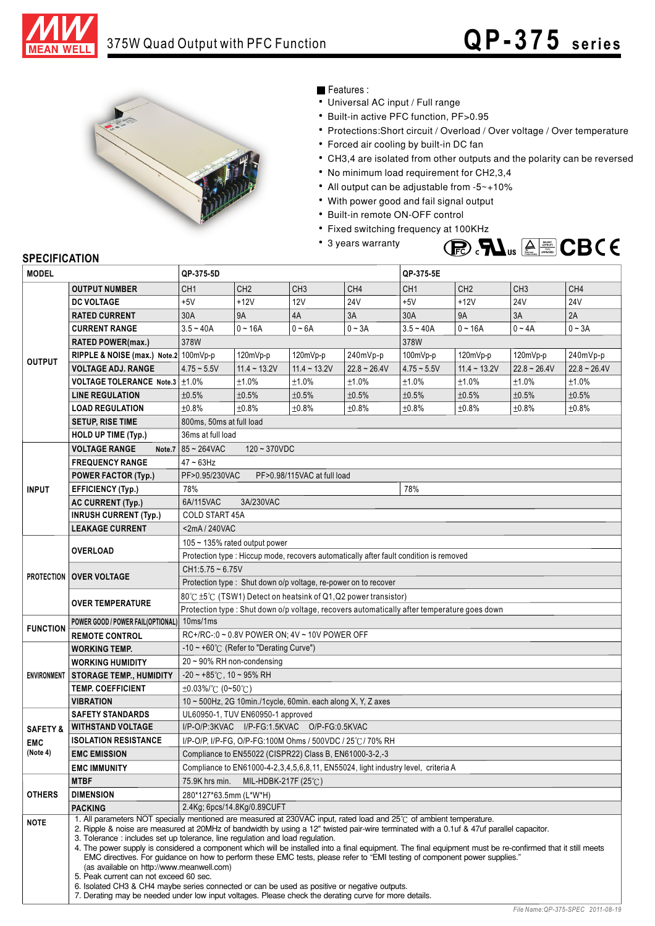



## Features :

- Universal AC input / Full range
- Built-in active PFC function, PF>0.95
- Protections: Short circuit / Overload / Over voltage / Over temperature
- Forced air cooling by built-in DC fan
- CH3,4 are isolated from other outputs and the polarity can be reversed
- No minimum load requirement for CH2,3,4
- All output can be adjustable from -5~+10%
- With power good and fail signal output
- Built-in remote ON-OFF control
- Fixed switching frequency at 100KHz
- 3 years warranty



## **SPECIFICATION**

| <b>MODEL</b>                                                                                                                                                        |                                                                                                                                                                                                                            | QP-375-5D                                                                                                                                                                                                                                                                                                                                                                       |                                   |                                                              |                 | QP-375-5E                                                                                   |                 |                 |                   |  |  |  |  |
|---------------------------------------------------------------------------------------------------------------------------------------------------------------------|----------------------------------------------------------------------------------------------------------------------------------------------------------------------------------------------------------------------------|---------------------------------------------------------------------------------------------------------------------------------------------------------------------------------------------------------------------------------------------------------------------------------------------------------------------------------------------------------------------------------|-----------------------------------|--------------------------------------------------------------|-----------------|---------------------------------------------------------------------------------------------|-----------------|-----------------|-------------------|--|--|--|--|
|                                                                                                                                                                     | <b>OUTPUT NUMBER</b>                                                                                                                                                                                                       | CH <sub>1</sub>                                                                                                                                                                                                                                                                                                                                                                 | CH <sub>2</sub>                   | CH <sub>3</sub>                                              | CH <sub>4</sub> | CH <sub>1</sub>                                                                             | CH <sub>2</sub> | CH <sub>3</sub> | CH <sub>4</sub>   |  |  |  |  |
|                                                                                                                                                                     | <b>DC VOLTAGE</b>                                                                                                                                                                                                          | $+5V$                                                                                                                                                                                                                                                                                                                                                                           | $+12V$                            | 12V                                                          | <b>24V</b>      | $+5V$                                                                                       | $+12V$          | <b>24V</b>      | <b>24V</b>        |  |  |  |  |
|                                                                                                                                                                     | <b>RATED CURRENT</b>                                                                                                                                                                                                       | 30A                                                                                                                                                                                                                                                                                                                                                                             | <b>9A</b>                         | 4A                                                           | 3A              | 30A                                                                                         | <b>9A</b>       | 3A              | 2A                |  |  |  |  |
|                                                                                                                                                                     | <b>CURRENT RANGE</b>                                                                                                                                                                                                       | $3.5 - 40A$                                                                                                                                                                                                                                                                                                                                                                     | $0 - 16A$                         | $0 - 6A$                                                     | $0 - 3A$        | $3.5 - 40A$                                                                                 | $0 - 16A$       | $0 - 4A$        | $0 - 3A$          |  |  |  |  |
|                                                                                                                                                                     | <b>RATED POWER(max.)</b>                                                                                                                                                                                                   | 378W<br>378W                                                                                                                                                                                                                                                                                                                                                                    |                                   |                                                              |                 |                                                                                             |                 |                 |                   |  |  |  |  |
|                                                                                                                                                                     | RIPPLE & NOISE (max.) Note.2 100mVp-p                                                                                                                                                                                      |                                                                                                                                                                                                                                                                                                                                                                                 | 120mVp-p                          | 120mVp-p                                                     | 240mVp-p        | $100mVp-p$                                                                                  | $120mVp-p$      | 120mVp-p        | 240mVp-p          |  |  |  |  |
|                                                                                                                                                                     | <b>VOLTAGE ADJ. RANGE</b>                                                                                                                                                                                                  | $4.75 - 5.5V$                                                                                                                                                                                                                                                                                                                                                                   | $11.4 - 13.2V$                    | $11.4 - 13.2V$                                               | $22.8 - 26.4V$  | $4.75 - 5.5V$                                                                               | $11.4 - 13.2V$  | $22.8 - 26.4V$  | $22.8 \sim 26.4V$ |  |  |  |  |
|                                                                                                                                                                     | VOLTAGE TOLERANCE Note.3   ±1.0%                                                                                                                                                                                           |                                                                                                                                                                                                                                                                                                                                                                                 | ±1.0%                             | ±1.0%                                                        | ±1.0%           | ±1.0%                                                                                       | ±1.0%           | ±1.0%           | ±1.0%             |  |  |  |  |
|                                                                                                                                                                     | <b>LINE REGULATION</b>                                                                                                                                                                                                     | ±0.5%                                                                                                                                                                                                                                                                                                                                                                           | ±0.5%                             | ±0.5%                                                        | ±0.5%           | ±0.5%                                                                                       | ±0.5%           | $\pm 0.5\%$     | ±0.5%             |  |  |  |  |
|                                                                                                                                                                     | <b>LOAD REGULATION</b>                                                                                                                                                                                                     | ±0.8%                                                                                                                                                                                                                                                                                                                                                                           | ±0.8%                             | ±0.8%                                                        | ±0.8%           | ±0.8%                                                                                       | ±0.8%           | ±0.8%           | ±0.8%             |  |  |  |  |
|                                                                                                                                                                     | <b>SETUP, RISE TIME</b>                                                                                                                                                                                                    | 800ms, 50ms at full load                                                                                                                                                                                                                                                                                                                                                        |                                   |                                                              |                 |                                                                                             |                 |                 |                   |  |  |  |  |
|                                                                                                                                                                     | <b>HOLD UP TIME (Typ.)</b>                                                                                                                                                                                                 | 36ms at full load                                                                                                                                                                                                                                                                                                                                                               |                                   |                                                              |                 |                                                                                             |                 |                 |                   |  |  |  |  |
|                                                                                                                                                                     | <b>VOLTAGE RANGE</b><br>Note.7                                                                                                                                                                                             | 85~264VAC                                                                                                                                                                                                                                                                                                                                                                       | $120 - 370VDC$                    |                                                              |                 |                                                                                             |                 |                 |                   |  |  |  |  |
|                                                                                                                                                                     | <b>FREQUENCY RANGE</b>                                                                                                                                                                                                     | $47 - 63$ Hz                                                                                                                                                                                                                                                                                                                                                                    |                                   |                                                              |                 |                                                                                             |                 |                 |                   |  |  |  |  |
| <b>OUTPUT</b><br><b>INPUT</b><br><b>PROTECTION OVER VOLTAGE</b><br><b>FUNCTION</b><br><b>SAFETY &amp;</b><br><b>EMC</b><br>(Note 4)<br><b>OTHERS</b><br><b>NOTE</b> | <b>POWER FACTOR (Typ.)</b>                                                                                                                                                                                                 | PF>0.95/230VAC<br>PF>0.98/115VAC at full load                                                                                                                                                                                                                                                                                                                                   |                                   |                                                              |                 |                                                                                             |                 |                 |                   |  |  |  |  |
|                                                                                                                                                                     | <b>EFFICIENCY (Typ.)</b>                                                                                                                                                                                                   | 78%                                                                                                                                                                                                                                                                                                                                                                             |                                   |                                                              |                 | 78%                                                                                         |                 |                 |                   |  |  |  |  |
|                                                                                                                                                                     | <b>AC CURRENT (Typ.)</b>                                                                                                                                                                                                   | 6A/115VAC<br>3A/230VAC                                                                                                                                                                                                                                                                                                                                                          |                                   |                                                              |                 |                                                                                             |                 |                 |                   |  |  |  |  |
|                                                                                                                                                                     | <b>INRUSH CURRENT (Typ.)</b>                                                                                                                                                                                               | COLD START 45A                                                                                                                                                                                                                                                                                                                                                                  |                                   |                                                              |                 |                                                                                             |                 |                 |                   |  |  |  |  |
|                                                                                                                                                                     | <b>LEAKAGE CURRENT</b>                                                                                                                                                                                                     | <2mA/240VAC                                                                                                                                                                                                                                                                                                                                                                     |                                   |                                                              |                 |                                                                                             |                 |                 |                   |  |  |  |  |
|                                                                                                                                                                     |                                                                                                                                                                                                                            | 105 ~ 135% rated output power                                                                                                                                                                                                                                                                                                                                                   |                                   |                                                              |                 |                                                                                             |                 |                 |                   |  |  |  |  |
|                                                                                                                                                                     | <b>OVERLOAD</b>                                                                                                                                                                                                            | Protection type : Hiccup mode, recovers automatically after fault condition is removed                                                                                                                                                                                                                                                                                          |                                   |                                                              |                 |                                                                                             |                 |                 |                   |  |  |  |  |
|                                                                                                                                                                     |                                                                                                                                                                                                                            | $CH1:5.75 - 6.75V$                                                                                                                                                                                                                                                                                                                                                              |                                   |                                                              |                 |                                                                                             |                 |                 |                   |  |  |  |  |
|                                                                                                                                                                     |                                                                                                                                                                                                                            | Protection type: Shut down o/p voltage, re-power on to recover                                                                                                                                                                                                                                                                                                                  |                                   |                                                              |                 |                                                                                             |                 |                 |                   |  |  |  |  |
|                                                                                                                                                                     |                                                                                                                                                                                                                            | 80℃ ±5℃ (TSW1) Detect on heatsink of Q1,Q2 power transistor)                                                                                                                                                                                                                                                                                                                    |                                   |                                                              |                 |                                                                                             |                 |                 |                   |  |  |  |  |
|                                                                                                                                                                     | <b>OVER TEMPERATURE</b>                                                                                                                                                                                                    |                                                                                                                                                                                                                                                                                                                                                                                 |                                   |                                                              |                 | Protection type : Shut down o/p voltage, recovers automatically after temperature goes down |                 |                 |                   |  |  |  |  |
|                                                                                                                                                                     | 10ms/1ms<br>POWER GOOD / POWER FAIL(OPTIONAL)<br>RC+/RC-: 0 ~ 0.8V POWER ON; 4V ~ 10V POWER OFF<br><b>REMOTE CONTROL</b>                                                                                                   |                                                                                                                                                                                                                                                                                                                                                                                 |                                   |                                                              |                 |                                                                                             |                 |                 |                   |  |  |  |  |
|                                                                                                                                                                     |                                                                                                                                                                                                                            |                                                                                                                                                                                                                                                                                                                                                                                 |                                   |                                                              |                 |                                                                                             |                 |                 |                   |  |  |  |  |
|                                                                                                                                                                     | <b>WORKING TEMP.</b>                                                                                                                                                                                                       | -10 ~ +60° $\mathrm{C}$ (Refer to "Derating Curve")                                                                                                                                                                                                                                                                                                                             |                                   |                                                              |                 |                                                                                             |                 |                 |                   |  |  |  |  |
|                                                                                                                                                                     | <b>WORKING HUMIDITY</b>                                                                                                                                                                                                    | $20 \sim 90\%$ RH non-condensing                                                                                                                                                                                                                                                                                                                                                |                                   |                                                              |                 |                                                                                             |                 |                 |                   |  |  |  |  |
|                                                                                                                                                                     | ENVIRONMENT   STORAGE TEMP., HUMIDITY                                                                                                                                                                                      | $-20 \sim +85^{\circ}$ C, 10 ~ 95% RH                                                                                                                                                                                                                                                                                                                                           |                                   |                                                              |                 |                                                                                             |                 |                 |                   |  |  |  |  |
|                                                                                                                                                                     | <b>TEMP. COEFFICIENT</b>                                                                                                                                                                                                   | ±0.03%/℃ (0~50℃)                                                                                                                                                                                                                                                                                                                                                                |                                   |                                                              |                 |                                                                                             |                 |                 |                   |  |  |  |  |
|                                                                                                                                                                     | <b>VIBRATION</b>                                                                                                                                                                                                           |                                                                                                                                                                                                                                                                                                                                                                                 |                                   | 10 ~ 500Hz, 2G 10min./1cycle, 60min. each along X, Y, Z axes |                 |                                                                                             |                 |                 |                   |  |  |  |  |
|                                                                                                                                                                     | <b>SAFETY STANDARDS</b>                                                                                                                                                                                                    |                                                                                                                                                                                                                                                                                                                                                                                 | UL60950-1, TUV EN60950-1 approved |                                                              |                 |                                                                                             |                 |                 |                   |  |  |  |  |
|                                                                                                                                                                     | <b>WITHSTAND VOLTAGE</b>                                                                                                                                                                                                   |                                                                                                                                                                                                                                                                                                                                                                                 |                                   | I/P-O/P:3KVAC I/P-FG:1.5KVAC O/P-FG:0.5KVAC                  |                 |                                                                                             |                 |                 |                   |  |  |  |  |
|                                                                                                                                                                     | <b>ISOLATION RESISTANCE</b>                                                                                                                                                                                                | I/P-O/P, I/P-FG, O/P-FG:100M Ohms / 500VDC / 25℃/ 70% RH                                                                                                                                                                                                                                                                                                                        |                                   |                                                              |                 |                                                                                             |                 |                 |                   |  |  |  |  |
|                                                                                                                                                                     | <b>EMC EMISSION</b>                                                                                                                                                                                                        | Compliance to EN55022 (CISPR22) Class B, EN61000-3-2,-3                                                                                                                                                                                                                                                                                                                         |                                   |                                                              |                 |                                                                                             |                 |                 |                   |  |  |  |  |
|                                                                                                                                                                     | <b>EMC IMMUNITY</b>                                                                                                                                                                                                        | Compliance to EN61000-4-2,3,4,5,6,8,11, EN55024, light industry level, criteria A                                                                                                                                                                                                                                                                                               |                                   |                                                              |                 |                                                                                             |                 |                 |                   |  |  |  |  |
|                                                                                                                                                                     | <b>MTBF</b>                                                                                                                                                                                                                | 75.9K hrs min.<br>MIL-HDBK-217F (25 $°C$ )                                                                                                                                                                                                                                                                                                                                      |                                   |                                                              |                 |                                                                                             |                 |                 |                   |  |  |  |  |
|                                                                                                                                                                     | <b>DIMENSION</b>                                                                                                                                                                                                           | 280*127*63.5mm (L*W*H)<br>2.4Kg; 6pcs/14.8Kg/0.89CUFT                                                                                                                                                                                                                                                                                                                           |                                   |                                                              |                 |                                                                                             |                 |                 |                   |  |  |  |  |
|                                                                                                                                                                     | <b>PACKING</b><br>1. All parameters NOT specially mentioned are measured at 230VAC input, rated load and 25°C of ambient temperature.                                                                                      |                                                                                                                                                                                                                                                                                                                                                                                 |                                   |                                                              |                 |                                                                                             |                 |                 |                   |  |  |  |  |
|                                                                                                                                                                     | 2. Ripple & noise are measured at 20MHz of bandwidth by using a 12" twisted pair-wire terminated with a 0.1uf & 47uf parallel capacitor.<br>3. Tolerance : includes set up tolerance, line regulation and load regulation. |                                                                                                                                                                                                                                                                                                                                                                                 |                                   |                                                              |                 |                                                                                             |                 |                 |                   |  |  |  |  |
|                                                                                                                                                                     |                                                                                                                                                                                                                            | 4. The power supply is considered a component which will be installed into a final equipment. The final equipment must be re-confirmed that it still meets<br>EMC directives. For guidance on how to perform these EMC tests, please refer to "EMI testing of component power supplies."<br>(as available on http://www.meanwell.com)<br>5. Peak current can not exceed 60 sec. |                                   |                                                              |                 |                                                                                             |                 |                 |                   |  |  |  |  |
|                                                                                                                                                                     |                                                                                                                                                                                                                            | 6. Isolated CH3 & CH4 maybe series connected or can be used as positive or negative outputs.<br>7. Derating may be needed under low input voltages. Please check the derating curve for more details.                                                                                                                                                                           |                                   |                                                              |                 |                                                                                             |                 |                 |                   |  |  |  |  |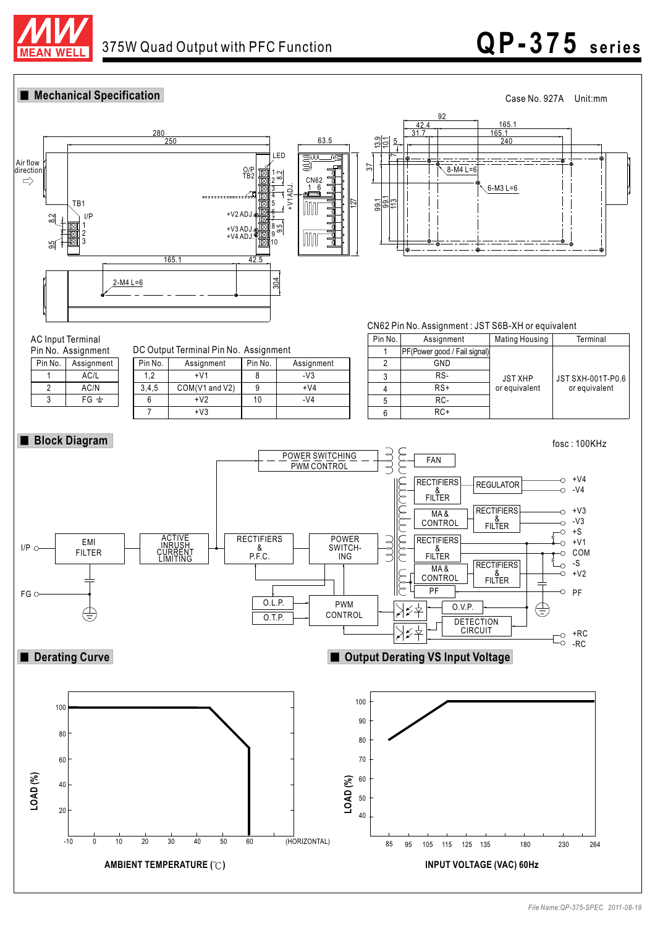

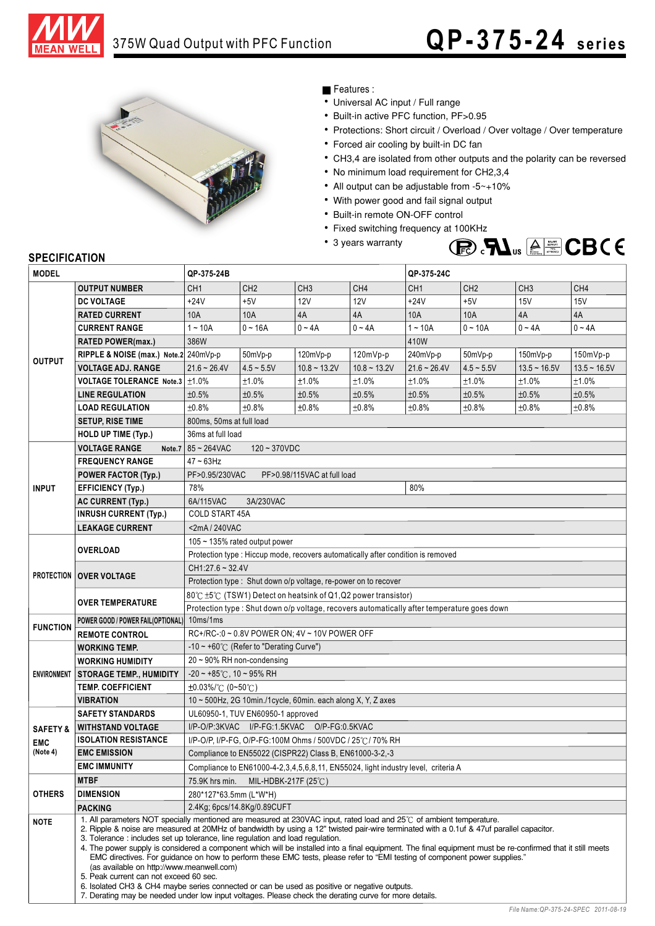



## Features :

- Universal AC input / Full range
- Built-in active PFC function, PF>0.95
- Protections: Short circuit / Overload / Over voltage / Over temperature
- Forced air cooling by built-in DC fan
- CH3,4 are isolated from other outputs and the polarity can be reversed
- No minimum load requirement for CH2,3,4
- All output can be adjustable from -5~+10%
- With power good and fail signal output
- Built-in remote ON-OFF control
- Fixed switching frequency at 100KHz
- 3 years warranty



# **SPECIFICATION**

| <b>MODEL</b>                                                                                                               |                                                                                                                                                                                                                                                                                                                                                                                                                                                                                                                                                                                                                                                                                                                                                                                                                                                                                                                                                     | QP-375-24B                                                                                  |                             |                 |                 | QP-375-24C      |                 |                 |                 |  |  |  |  |
|----------------------------------------------------------------------------------------------------------------------------|-----------------------------------------------------------------------------------------------------------------------------------------------------------------------------------------------------------------------------------------------------------------------------------------------------------------------------------------------------------------------------------------------------------------------------------------------------------------------------------------------------------------------------------------------------------------------------------------------------------------------------------------------------------------------------------------------------------------------------------------------------------------------------------------------------------------------------------------------------------------------------------------------------------------------------------------------------|---------------------------------------------------------------------------------------------|-----------------------------|-----------------|-----------------|-----------------|-----------------|-----------------|-----------------|--|--|--|--|
|                                                                                                                            | <b>OUTPUT NUMBER</b>                                                                                                                                                                                                                                                                                                                                                                                                                                                                                                                                                                                                                                                                                                                                                                                                                                                                                                                                | CH <sub>1</sub>                                                                             | CH <sub>2</sub>             | CH <sub>3</sub> | CH <sub>4</sub> | CH <sub>1</sub> | CH <sub>2</sub> | CH <sub>3</sub> | CH <sub>4</sub> |  |  |  |  |
|                                                                                                                            | <b>DC VOLTAGE</b>                                                                                                                                                                                                                                                                                                                                                                                                                                                                                                                                                                                                                                                                                                                                                                                                                                                                                                                                   | $+24V$                                                                                      | $+5V$                       | <b>12V</b>      | 12V             | $+24V$          | $+5V$           | 15V             | <b>15V</b>      |  |  |  |  |
|                                                                                                                            | <b>RATED CURRENT</b>                                                                                                                                                                                                                                                                                                                                                                                                                                                                                                                                                                                                                                                                                                                                                                                                                                                                                                                                | 10A                                                                                         | 10A                         | 4A              | 4A              | 10A             | 10A             | 4A              | 4A              |  |  |  |  |
|                                                                                                                            | <b>CURRENT RANGE</b>                                                                                                                                                                                                                                                                                                                                                                                                                                                                                                                                                                                                                                                                                                                                                                                                                                                                                                                                | $1 - 10A$                                                                                   | $0 - 16A$                   | $0 - 4A$        | $0 - 4A$        | $1 - 10A$       | $0 - 10A$       | $0 - 4A$        | $0 - 4A$        |  |  |  |  |
|                                                                                                                            | <b>RATED POWER(max.)</b>                                                                                                                                                                                                                                                                                                                                                                                                                                                                                                                                                                                                                                                                                                                                                                                                                                                                                                                            | 386W<br>410W                                                                                |                             |                 |                 |                 |                 |                 |                 |  |  |  |  |
|                                                                                                                            | RIPPLE & NOISE (max.) Note.2 240mVp-p                                                                                                                                                                                                                                                                                                                                                                                                                                                                                                                                                                                                                                                                                                                                                                                                                                                                                                               |                                                                                             | 50mVp-p                     | 120mVp-p        | 120mVp-p        | 240mVp-p        | 50mVp-p         | 150mVp-p        | 150mVp-p        |  |  |  |  |
|                                                                                                                            | <b>VOLTAGE ADJ. RANGE</b>                                                                                                                                                                                                                                                                                                                                                                                                                                                                                                                                                                                                                                                                                                                                                                                                                                                                                                                           | $21.6 - 26.4V$                                                                              | $4.5 - 5.5V$                | $10.8 - 13.2V$  | $10.8 - 13.2V$  | $21.6 - 26.4V$  | $4.5 - 5.5V$    | $13.5 - 16.5V$  | $13.5 - 16.5V$  |  |  |  |  |
| <b>OUTPUT</b><br><b>INPUT</b><br><b>FUNCTION</b><br><b>SAFETY &amp;</b><br><b>EMC</b><br>(Note 4)<br><b>OTHERS</b><br>NOTE | <b>VOLTAGE TOLERANCE Note.3</b>                                                                                                                                                                                                                                                                                                                                                                                                                                                                                                                                                                                                                                                                                                                                                                                                                                                                                                                     | $\pm 1.0\%$                                                                                 | ±1.0%                       | ±1.0%           | ±1.0%           | ±1.0%           | ±1.0%           | ±1.0%           | ±1.0%           |  |  |  |  |
|                                                                                                                            | <b>LINE REGULATION</b>                                                                                                                                                                                                                                                                                                                                                                                                                                                                                                                                                                                                                                                                                                                                                                                                                                                                                                                              | ±0.5%                                                                                       | ±0.5%                       | ±0.5%           | ±0.5%           | ±0.5%           | ±0.5%           | ±0.5%           | ±0.5%           |  |  |  |  |
|                                                                                                                            | <b>LOAD REGULATION</b>                                                                                                                                                                                                                                                                                                                                                                                                                                                                                                                                                                                                                                                                                                                                                                                                                                                                                                                              | ±0.8%                                                                                       | ±0.8%                       | ±0.8%           | ±0.8%           | ±0.8%           | ±0.8%           | ±0.8%           | ±0.8%           |  |  |  |  |
|                                                                                                                            | <b>SETUP, RISE TIME</b>                                                                                                                                                                                                                                                                                                                                                                                                                                                                                                                                                                                                                                                                                                                                                                                                                                                                                                                             | 800ms, 50ms at full load                                                                    |                             |                 |                 |                 |                 |                 |                 |  |  |  |  |
|                                                                                                                            | <b>HOLD UP TIME (Typ.)</b>                                                                                                                                                                                                                                                                                                                                                                                                                                                                                                                                                                                                                                                                                                                                                                                                                                                                                                                          | 36ms at full load                                                                           |                             |                 |                 |                 |                 |                 |                 |  |  |  |  |
|                                                                                                                            | <b>VOLTAGE RANGE</b><br>Note.7                                                                                                                                                                                                                                                                                                                                                                                                                                                                                                                                                                                                                                                                                                                                                                                                                                                                                                                      | 85~264VAC                                                                                   | $120 - 370VDC$              |                 |                 |                 |                 |                 |                 |  |  |  |  |
|                                                                                                                            | <b>FREQUENCY RANGE</b>                                                                                                                                                                                                                                                                                                                                                                                                                                                                                                                                                                                                                                                                                                                                                                                                                                                                                                                              | $47 - 63$ Hz                                                                                |                             |                 |                 |                 |                 |                 |                 |  |  |  |  |
|                                                                                                                            | <b>POWER FACTOR (Typ.)</b>                                                                                                                                                                                                                                                                                                                                                                                                                                                                                                                                                                                                                                                                                                                                                                                                                                                                                                                          | PF>0.95/230VAC<br>PF>0.98/115VAC at full load                                               |                             |                 |                 |                 |                 |                 |                 |  |  |  |  |
|                                                                                                                            | <b>EFFICIENCY (Typ.)</b>                                                                                                                                                                                                                                                                                                                                                                                                                                                                                                                                                                                                                                                                                                                                                                                                                                                                                                                            | 78%                                                                                         |                             |                 |                 | 80%             |                 |                 |                 |  |  |  |  |
|                                                                                                                            | AC CURRENT (Typ.)                                                                                                                                                                                                                                                                                                                                                                                                                                                                                                                                                                                                                                                                                                                                                                                                                                                                                                                                   | 6A/115VAC<br>3A/230VAC                                                                      |                             |                 |                 |                 |                 |                 |                 |  |  |  |  |
|                                                                                                                            | <b>INRUSH CURRENT (Typ.)</b>                                                                                                                                                                                                                                                                                                                                                                                                                                                                                                                                                                                                                                                                                                                                                                                                                                                                                                                        | <b>COLD START 45A</b>                                                                       |                             |                 |                 |                 |                 |                 |                 |  |  |  |  |
|                                                                                                                            | <b>LEAKAGE CURRENT</b>                                                                                                                                                                                                                                                                                                                                                                                                                                                                                                                                                                                                                                                                                                                                                                                                                                                                                                                              | <2mA/240VAC                                                                                 |                             |                 |                 |                 |                 |                 |                 |  |  |  |  |
|                                                                                                                            | <b>OVERLOAD</b>                                                                                                                                                                                                                                                                                                                                                                                                                                                                                                                                                                                                                                                                                                                                                                                                                                                                                                                                     | 105 ~ 135% rated output power                                                               |                             |                 |                 |                 |                 |                 |                 |  |  |  |  |
|                                                                                                                            |                                                                                                                                                                                                                                                                                                                                                                                                                                                                                                                                                                                                                                                                                                                                                                                                                                                                                                                                                     | Protection type : Hiccup mode, recovers automatically after condition is removed            |                             |                 |                 |                 |                 |                 |                 |  |  |  |  |
|                                                                                                                            | PROTECTION   OVER VOLTAGE                                                                                                                                                                                                                                                                                                                                                                                                                                                                                                                                                                                                                                                                                                                                                                                                                                                                                                                           | $CH1:27.6 \sim 32.4V$                                                                       |                             |                 |                 |                 |                 |                 |                 |  |  |  |  |
|                                                                                                                            |                                                                                                                                                                                                                                                                                                                                                                                                                                                                                                                                                                                                                                                                                                                                                                                                                                                                                                                                                     | Protection type: Shut down o/p voltage, re-power on to recover                              |                             |                 |                 |                 |                 |                 |                 |  |  |  |  |
|                                                                                                                            |                                                                                                                                                                                                                                                                                                                                                                                                                                                                                                                                                                                                                                                                                                                                                                                                                                                                                                                                                     | 80℃ ±5℃ (TSW1) Detect on heatsink of Q1, Q2 power transistor)                               |                             |                 |                 |                 |                 |                 |                 |  |  |  |  |
|                                                                                                                            | <b>OVER TEMPERATURE</b>                                                                                                                                                                                                                                                                                                                                                                                                                                                                                                                                                                                                                                                                                                                                                                                                                                                                                                                             | Protection type : Shut down o/p voltage, recovers automatically after temperature goes down |                             |                 |                 |                 |                 |                 |                 |  |  |  |  |
|                                                                                                                            | POWER GOOD / POWER FAIL(OPTIONAL)                                                                                                                                                                                                                                                                                                                                                                                                                                                                                                                                                                                                                                                                                                                                                                                                                                                                                                                   | 10ms/1ms                                                                                    |                             |                 |                 |                 |                 |                 |                 |  |  |  |  |
| RC+/RC-: 0 ~ 0.8V POWER ON; 4V ~ 10V POWER OFF<br><b>REMOTE CONTROL</b>                                                    |                                                                                                                                                                                                                                                                                                                                                                                                                                                                                                                                                                                                                                                                                                                                                                                                                                                                                                                                                     |                                                                                             |                             |                 |                 |                 |                 |                 |                 |  |  |  |  |
|                                                                                                                            | <b>WORKING TEMP.</b>                                                                                                                                                                                                                                                                                                                                                                                                                                                                                                                                                                                                                                                                                                                                                                                                                                                                                                                                | -10 ~ +60° $\mathrm{C}$ (Refer to "Derating Curve")                                         |                             |                 |                 |                 |                 |                 |                 |  |  |  |  |
|                                                                                                                            | <b>WORKING HUMIDITY</b>                                                                                                                                                                                                                                                                                                                                                                                                                                                                                                                                                                                                                                                                                                                                                                                                                                                                                                                             | $20 \sim 90\%$ RH non-condensing                                                            |                             |                 |                 |                 |                 |                 |                 |  |  |  |  |
| <b>ENVIRONMENT</b>                                                                                                         | <b>STORAGE TEMP., HUMIDITY</b>                                                                                                                                                                                                                                                                                                                                                                                                                                                                                                                                                                                                                                                                                                                                                                                                                                                                                                                      | $-20 \sim +85^{\circ}$ C, 10 ~ 95% RH                                                       |                             |                 |                 |                 |                 |                 |                 |  |  |  |  |
|                                                                                                                            | <b>TEMP. COEFFICIENT</b>                                                                                                                                                                                                                                                                                                                                                                                                                                                                                                                                                                                                                                                                                                                                                                                                                                                                                                                            | $\pm 0.03\%$ /°C (0~50°C)                                                                   |                             |                 |                 |                 |                 |                 |                 |  |  |  |  |
|                                                                                                                            | <b>VIBRATION</b>                                                                                                                                                                                                                                                                                                                                                                                                                                                                                                                                                                                                                                                                                                                                                                                                                                                                                                                                    | 10 ~ 500Hz, 2G 10min./1cycle, 60min. each along X, Y, Z axes                                |                             |                 |                 |                 |                 |                 |                 |  |  |  |  |
|                                                                                                                            | <b>SAFETY STANDARDS</b>                                                                                                                                                                                                                                                                                                                                                                                                                                                                                                                                                                                                                                                                                                                                                                                                                                                                                                                             | UL60950-1, TUV EN60950-1 approved                                                           |                             |                 |                 |                 |                 |                 |                 |  |  |  |  |
|                                                                                                                            | <b>WITHSTAND VOLTAGE</b>                                                                                                                                                                                                                                                                                                                                                                                                                                                                                                                                                                                                                                                                                                                                                                                                                                                                                                                            | I/P-O/P:3KVAC I/P-FG:1.5KVAC O/P-FG:0.5KVAC                                                 |                             |                 |                 |                 |                 |                 |                 |  |  |  |  |
|                                                                                                                            | <b>ISOLATION RESISTANCE</b>                                                                                                                                                                                                                                                                                                                                                                                                                                                                                                                                                                                                                                                                                                                                                                                                                                                                                                                         | I/P-O/P, I/P-FG, O/P-FG:100M Ohms / 500VDC / 25°C / 70% RH                                  |                             |                 |                 |                 |                 |                 |                 |  |  |  |  |
|                                                                                                                            | <b>EMC EMISSION</b>                                                                                                                                                                                                                                                                                                                                                                                                                                                                                                                                                                                                                                                                                                                                                                                                                                                                                                                                 | Compliance to EN55022 (CISPR22) Class B, EN61000-3-2,-3                                     |                             |                 |                 |                 |                 |                 |                 |  |  |  |  |
|                                                                                                                            | <b>EMC IMMUNITY</b>                                                                                                                                                                                                                                                                                                                                                                                                                                                                                                                                                                                                                                                                                                                                                                                                                                                                                                                                 | Compliance to EN61000-4-2, 3, 4, 5, 6, 8, 11, EN55024, light industry level, criteria A     |                             |                 |                 |                 |                 |                 |                 |  |  |  |  |
|                                                                                                                            | <b>MTBF</b>                                                                                                                                                                                                                                                                                                                                                                                                                                                                                                                                                                                                                                                                                                                                                                                                                                                                                                                                         | 75.9K hrs min.<br>MIL-HDBK-217F (25 $\degree$ C)                                            |                             |                 |                 |                 |                 |                 |                 |  |  |  |  |
|                                                                                                                            | <b>DIMENSION</b>                                                                                                                                                                                                                                                                                                                                                                                                                                                                                                                                                                                                                                                                                                                                                                                                                                                                                                                                    | 280*127*63.5mm (L*W*H)                                                                      |                             |                 |                 |                 |                 |                 |                 |  |  |  |  |
|                                                                                                                            | <b>PACKING</b>                                                                                                                                                                                                                                                                                                                                                                                                                                                                                                                                                                                                                                                                                                                                                                                                                                                                                                                                      |                                                                                             | 2.4Kg; 6pcs/14.8Kg/0.89CUFT |                 |                 |                 |                 |                 |                 |  |  |  |  |
|                                                                                                                            | 1. All parameters NOT specially mentioned are measured at 230VAC input, rated load and $25\degree$ of ambient temperature.<br>2. Ripple & noise are measured at 20MHz of bandwidth by using a 12" twisted pair-wire terminated with a 0.1uf & 47uf parallel capacitor.<br>3. Tolerance: includes set up tolerance, line regulation and load regulation.<br>4. The power supply is considered a component which will be installed into a final equipment. The final equipment must be re-confirmed that it still meets<br>EMC directives. For guidance on how to perform these EMC tests, please refer to "EMI testing of component power supplies."<br>(as available on http://www.meanwell.com)<br>5. Peak current can not exceed 60 sec.<br>6. Isolated CH3 & CH4 maybe series connected or can be used as positive or negative outputs.<br>7. Derating may be needed under low input voltages. Please check the derating curve for more details. |                                                                                             |                             |                 |                 |                 |                 |                 |                 |  |  |  |  |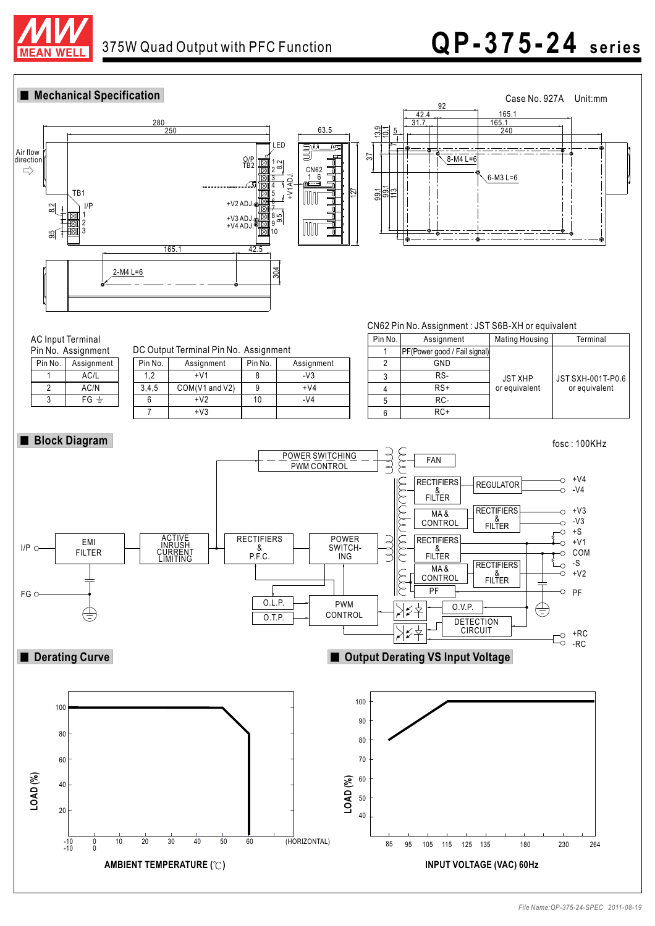

# 375W Quad Output with PFC Function **Q P-375-24 s e ri e s**

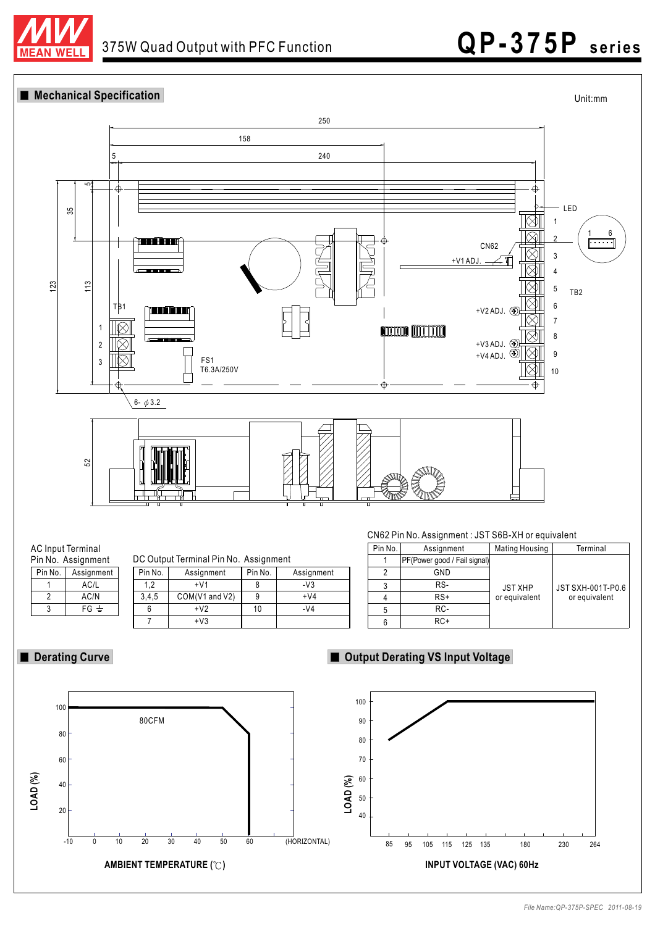

**Mechanical Specification**



 $FG \neq$ 

3



7

3,4,5 COM(V1 and V2) | 9 | +V4 6 | +V2 | 10 | -V4

+V3

# ■ Derating Curve **■ Output Derating VS Input Voltage**

RC-RC+ or equivalent

5 6



or equivalent